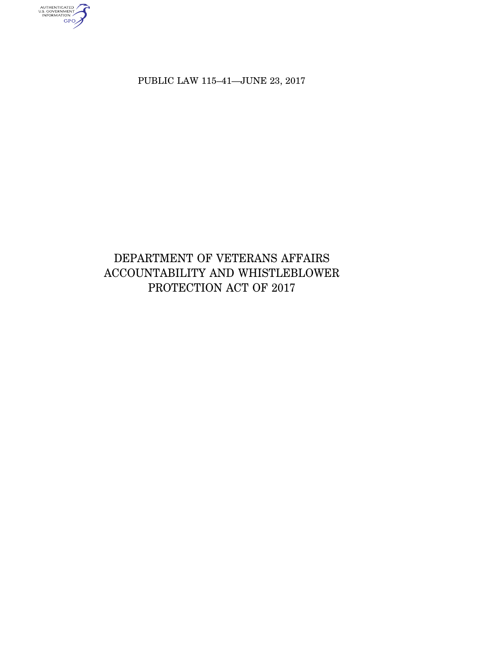PUBLIC LAW 115–41—JUNE 23, 2017

AUTHENTICATED<br>U.S. GOVERNMENT<br>INFORMATION

# DEPARTMENT OF VETERANS AFFAIRS ACCOUNTABILITY AND WHISTLEBLOWER PROTECTION ACT OF 2017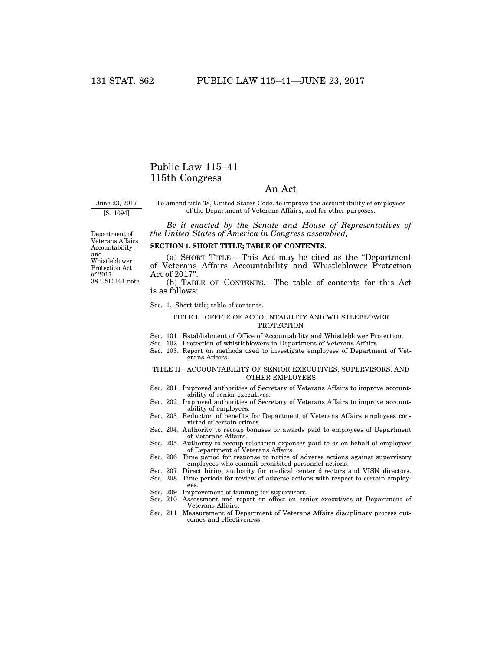## Public Law 115–41 115th Congress

### An Act

June 23, 2017 [S. 1094]

To amend title 38, United States Code, to improve the accountability of employees of the Department of Veterans Affairs, and for other purposes.

*Be it enacted by the Senate and House of Representatives of the United States of America in Congress assembled,* 

Department of Veterans Affairs Accountability and Whistleblower Protection Act of 2017. 38 USC 101 note.

### **SECTION 1. SHORT TITLE; TABLE OF CONTENTS.**

(a) SHORT TITLE.—This Act may be cited as the ''Department of Veterans Affairs Accountability and Whistleblower Protection Act of 2017''.

(b) TABLE OF CONTENTS.—The table of contents for this Act is as follows:

#### Sec. 1. Short title; table of contents.

#### TITLE I—OFFICE OF ACCOUNTABILITY AND WHISTLEBLOWER PROTECTION

- Sec. 101. Establishment of Office of Accountability and Whistleblower Protection.
- Sec. 102. Protection of whistleblowers in Department of Veterans Affairs.
- Sec. 103. Report on methods used to investigate employees of Department of Veterans Affairs.

#### TITLE II—ACCOUNTABILITY OF SENIOR EXECUTIVES, SUPERVISORS, AND OTHER EMPLOYEES

- Sec. 201. Improved authorities of Secretary of Veterans Affairs to improve accountability of senior executives.
- Sec. 202. Improved authorities of Secretary of Veterans Affairs to improve accountability of employees.
- Sec. 203. Reduction of benefits for Department of Veterans Affairs employees convicted of certain crimes.
- Sec. 204. Authority to recoup bonuses or awards paid to employees of Department of Veterans Affairs.
- Sec. 205. Authority to recoup relocation expenses paid to or on behalf of employees of Department of Veterans Affairs.
- Sec. 206. Time period for response to notice of adverse actions against supervisory employees who commit prohibited personnel actions.
- Sec. 207. Direct hiring authority for medical center directors and VISN directors. Sec. 208. Time periods for review of adverse actions with respect to certain employ
	- ees.
- Sec. 209. Improvement of training for supervisors.
- Sec. 210. Assessment and report on effect on senior executives at Department of Veterans Affairs.
- Sec. 211. Measurement of Department of Veterans Affairs disciplinary process outcomes and effectiveness.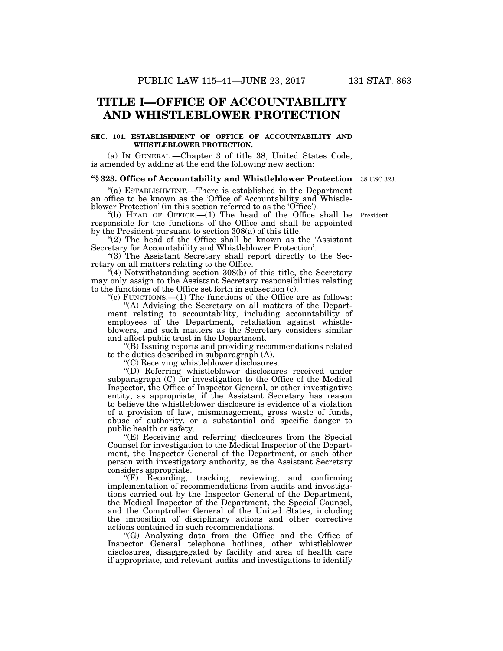# **TITLE I—OFFICE OF ACCOUNTABILITY AND WHISTLEBLOWER PROTECTION**

#### **SEC. 101. ESTABLISHMENT OF OFFICE OF ACCOUNTABILITY AND WHISTLEBLOWER PROTECTION.**

(a) IN GENERAL.—Chapter 3 of title 38, United States Code, is amended by adding at the end the following new section:

#### **''§ 323. Office of Accountability and Whistleblower Protection**  38 USC 323.

''(a) ESTABLISHMENT.—There is established in the Department an office to be known as the 'Office of Accountability and Whistleblower Protection' (in this section referred to as the 'Office').

"(b) HEAD OF OFFICE. $-(1)$  The head of the Office shall be responsible for the functions of the Office and shall be appointed by the President pursuant to section 308(a) of this title.

"(2) The head of the Office shall be known as the 'Assistant Secretary for Accountability and Whistleblower Protection'.

"(3) The Assistant Secretary shall report directly to the Secretary on all matters relating to the Office.

''(4) Notwithstanding section 308(b) of this title, the Secretary may only assign to the Assistant Secretary responsibilities relating to the functions of the Office set forth in subsection (c).

"(c) FUNCTIONS.— $(1)$  The functions of the Office are as follows:

''(A) Advising the Secretary on all matters of the Department relating to accountability, including accountability of employees of the Department, retaliation against whistleblowers, and such matters as the Secretary considers similar and affect public trust in the Department.

''(B) Issuing reports and providing recommendations related to the duties described in subparagraph (A).

''(C) Receiving whistleblower disclosures.

''(D) Referring whistleblower disclosures received under subparagraph (C) for investigation to the Office of the Medical Inspector, the Office of Inspector General, or other investigative entity, as appropriate, if the Assistant Secretary has reason to believe the whistleblower disclosure is evidence of a violation of a provision of law, mismanagement, gross waste of funds, abuse of authority, or a substantial and specific danger to public health or safety.

''(E) Receiving and referring disclosures from the Special Counsel for investigation to the Medical Inspector of the Department, the Inspector General of the Department, or such other person with investigatory authority, as the Assistant Secretary considers appropriate.

''(F) Recording, tracking, reviewing, and confirming implementation of recommendations from audits and investigations carried out by the Inspector General of the Department, the Medical Inspector of the Department, the Special Counsel, and the Comptroller General of the United States, including the imposition of disciplinary actions and other corrective actions contained in such recommendations.

''(G) Analyzing data from the Office and the Office of Inspector General telephone hotlines, other whistleblower disclosures, disaggregated by facility and area of health care if appropriate, and relevant audits and investigations to identify

President.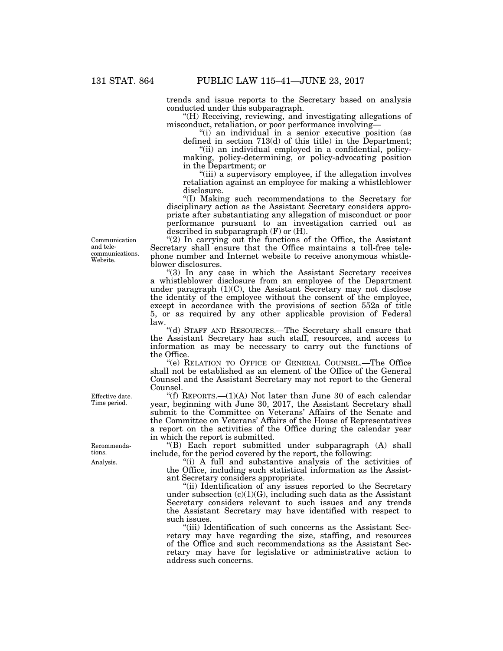trends and issue reports to the Secretary based on analysis conducted under this subparagraph.

''(H) Receiving, reviewing, and investigating allegations of misconduct, retaliation, or poor performance involving—

"(i) an individual in a senior executive position (as defined in section 713(d) of this title) in the Department;

"(ii) an individual employed in a confidential, policymaking, policy-determining, or policy-advocating position in the Department; or

"(iii) a supervisory employee, if the allegation involves retaliation against an employee for making a whistleblower disclosure.

''(I) Making such recommendations to the Secretary for disciplinary action as the Assistant Secretary considers appropriate after substantiating any allegation of misconduct or poor performance pursuant to an investigation carried out as described in subparagraph (F) or (H).

"(2) In carrying out the functions of the Office, the Assistant Secretary shall ensure that the Office maintains a toll-free telephone number and Internet website to receive anonymous whistleblower disclosures.

''(3) In any case in which the Assistant Secretary receives a whistleblower disclosure from an employee of the Department under paragraph (1)(C), the Assistant Secretary may not disclose the identity of the employee without the consent of the employee, except in accordance with the provisions of section 552a of title 5, or as required by any other applicable provision of Federal law.

''(d) STAFF AND RESOURCES.—The Secretary shall ensure that the Assistant Secretary has such staff, resources, and access to information as may be necessary to carry out the functions of the Office.

''(e) RELATION TO OFFICE OF GENERAL COUNSEL.—The Office shall not be established as an element of the Office of the General Counsel and the Assistant Secretary may not report to the General Counsel.

"(f) REPORTS.— $(1)(A)$  Not later than June 30 of each calendar year, beginning with June 30, 2017, the Assistant Secretary shall submit to the Committee on Veterans' Affairs of the Senate and the Committee on Veterans' Affairs of the House of Representatives a report on the activities of the Office during the calendar year in which the report is submitted.

''(B) Each report submitted under subparagraph (A) shall include, for the period covered by the report, the following:

''(i) A full and substantive analysis of the activities of the Office, including such statistical information as the Assistant Secretary considers appropriate.

"(ii) Identification of any issues reported to the Secretary under subsection  $(c)(1)(G)$ , including such data as the Assistant Secretary considers relevant to such issues and any trends the Assistant Secretary may have identified with respect to such issues.

''(iii) Identification of such concerns as the Assistant Secretary may have regarding the size, staffing, and resources of the Office and such recommendations as the Assistant Secretary may have for legislative or administrative action to address such concerns.

Communication and telecommunications. Website.

Effective date. Time period.

Analysis. Recommendations.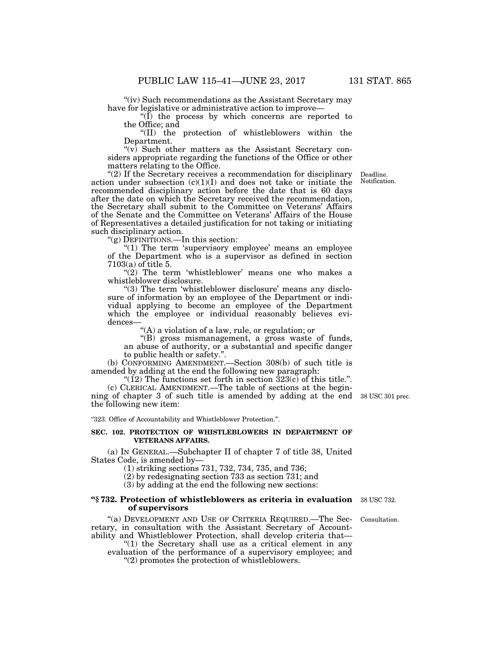"(iv) Such recommendations as the Assistant Secretary may have for legislative or administrative action to improve—

" $(\tilde{I})$  the process by which concerns are reported to the Office; and

''(II) the protection of whistleblowers within the Department.

" $(v)$  Such other matters as the Assistant Secretary considers appropriate regarding the functions of the Office or other matters relating to the Office.

''(2) If the Secretary receives a recommendation for disciplinary action under subsection  $(c)(1)(I)$  and does not take or initiate the recommended disciplinary action before the date that is 60 days after the date on which the Secretary received the recommendation, the Secretary shall submit to the Committee on Veterans' Affairs of the Senate and the Committee on Veterans' Affairs of the House of Representatives a detailed justification for not taking or initiating such disciplinary action.

''(g) DEFINITIONS.—In this section:

"(1) The term 'supervisory employee' means an employee of the Department who is a supervisor as defined in section 7103(a) of title 5.

 $'(2)$  The term 'whistleblower' means one who makes a whistleblower disclosure.

"(3) The term 'whistleblower disclosure' means any disclosure of information by an employee of the Department or individual applying to become an employee of the Department which the employee or individual reasonably believes evidences—

''(A) a violation of a law, rule, or regulation; or

''(B) gross mismanagement, a gross waste of funds, an abuse of authority, or a substantial and specific danger to public health or safety.''.

(b) CONFORMING AMENDMENT.—Section 308(b) of such title is amended by adding at the end the following new paragraph:

"(12) The functions set forth in section  $323(c)$  of this title.". (c) CLERICAL AMENDMENT.—The table of sections at the beginning of chapter 3 of such title is amended by adding at the end 38 USC 301 prec. the following new item:

''323. Office of Accountability and Whistleblower Protection.''.

#### **SEC. 102. PROTECTION OF WHISTLEBLOWERS IN DEPARTMENT OF VETERANS AFFAIRS.**

(a) IN GENERAL.—Subchapter II of chapter 7 of title 38, United States Code, is amended by—

(1) striking sections 731, 732, 734, 735, and 736;

(2) by redesignating section 733 as section 731; and

(3) by adding at the end the following new sections:

#### **"§ 732. Protection of whistleblowers as criteria in evaluation** 38 USC 732. **of supervisors**

"(a) DEVELOPMENT AND USE OF CRITERIA REQUIRED.—The Secretary, in consultation with the Assistant Secretary of Accountability and Whistleblower Protection, shall develop criteria that—

" $(1)$  the Secretary shall use as a critical element in any evaluation of the performance of a supervisory employee; and ''(2) promotes the protection of whistleblowers.

Consultation.

Deadline. Notification.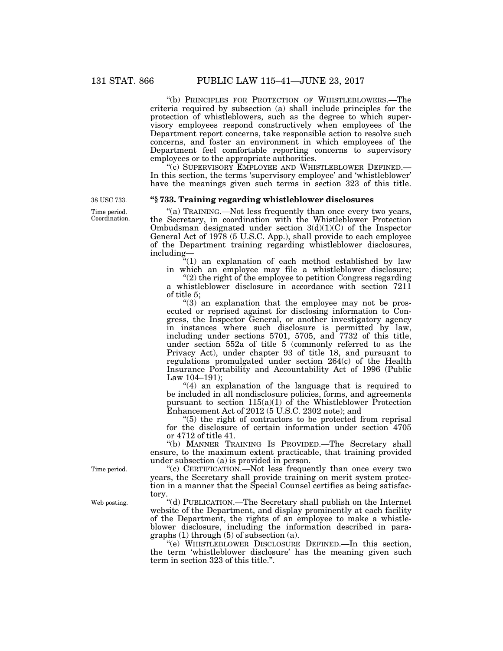''(b) PRINCIPLES FOR PROTECTION OF WHISTLEBLOWERS.—The criteria required by subsection (a) shall include principles for the protection of whistleblowers, such as the degree to which supervisory employees respond constructively when employees of the Department report concerns, take responsible action to resolve such concerns, and foster an environment in which employees of the Department feel comfortable reporting concerns to supervisory employees or to the appropriate authorities.

''(c) SUPERVISORY EMPLOYEE AND WHISTLEBLOWER DEFINED.— In this section, the terms 'supervisory employee' and 'whistleblower' have the meanings given such terms in section 323 of this title.

#### **''§ 733. Training regarding whistleblower disclosures**

"(a) TRAINING.—Not less frequently than once every two years, the Secretary, in coordination with the Whistleblower Protection Ombudsman designated under section 3(d)(1)(C) of the Inspector General Act of 1978 (5 U.S.C. App.), shall provide to each employee of the Department training regarding whistleblower disclosures, including—

 $\sqrt[4]{(1)}$  an explanation of each method established by law in which an employee may file a whistleblower disclosure;

 $(2)$  the right of the employee to petition Congress regarding a whistleblower disclosure in accordance with section 7211 of title 5;

"(3) an explanation that the employee may not be prosecuted or reprised against for disclosing information to Congress, the Inspector General, or another investigatory agency in instances where such disclosure is permitted by law, including under sections 5701, 5705, and 7732 of this title, under section 552a of title 5 (commonly referred to as the Privacy Act), under chapter 93 of title 18, and pursuant to regulations promulgated under section 264(c) of the Health Insurance Portability and Accountability Act of 1996 (Public Law 104–191);

" $(4)$  an explanation of the language that is required to be included in all nondisclosure policies, forms, and agreements pursuant to section 115(a)(1) of the Whistleblower Protection Enhancement Act of 2012 (5 U.S.C. 2302 note); and

 $(5)$  the right of contractors to be protected from reprisal for the disclosure of certain information under section 4705 or 4712 of title 41.

''(b) MANNER TRAINING IS PROVIDED.—The Secretary shall ensure, to the maximum extent practicable, that training provided under subsection (a) is provided in person.

"(c) CERTIFICATION.—Not less frequently than once every two years, the Secretary shall provide training on merit system protection in a manner that the Special Counsel certifies as being satisfactory.

''(d) PUBLICATION.—The Secretary shall publish on the Internet website of the Department, and display prominently at each facility of the Department, the rights of an employee to make a whistleblower disclosure, including the information described in paragraphs (1) through (5) of subsection (a).

''(e) WHISTLEBLOWER DISCLOSURE DEFINED.—In this section, the term 'whistleblower disclosure' has the meaning given such term in section 323 of this title.''.

38 USC 733.

Time period. Coordination.

Time period.

Web posting.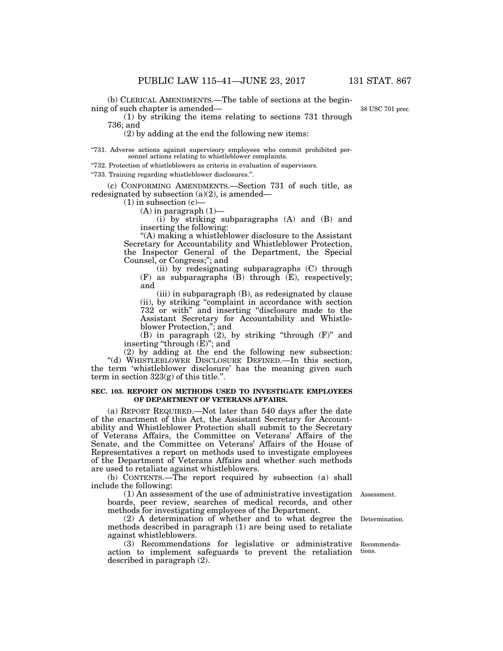(b) CLERICAL AMENDMENTS.—The table of sections at the beginning of such chapter is amended—

(1) by striking the items relating to sections 731 through 736; and

(2) by adding at the end the following new items:

''731. Adverse actions against supervisory employees who commit prohibited personnel actions relating to whistleblower complaints.

''732. Protection of whistleblowers as criteria in evaluation of supervisors.

''733. Training regarding whistleblower disclosures.''.

(c) CONFORMING AMENDMENTS.—Section 731 of such title, as redesignated by subsection (a)(2), is amended—

(1) in subsection (c)—

 $(A)$  in paragraph  $(1)$ —

(i) by striking subparagraphs (A) and (B) and inserting the following:

''(A) making a whistleblower disclosure to the Assistant Secretary for Accountability and Whistleblower Protection, the Inspector General of the Department, the Special Counsel, or Congress;''; and

(ii) by redesignating subparagraphs (C) through (F) as subparagraphs (B) through (E), respectively; and

(iii) in subparagraph (B), as redesignated by clause (ii), by striking ''complaint in accordance with section 732 or with'' and inserting ''disclosure made to the Assistant Secretary for Accountability and Whistleblower Protection,''; and

(B) in paragraph (2), by striking ''through (F)'' and inserting "through  $(E)$ "; and

(2) by adding at the end the following new subsection: ''(d) WHISTLEBLOWER DISCLOSURE DEFINED.—In this section, the term 'whistleblower disclosure' has the meaning given such term in section 323(g) of this title.''.

#### **SEC. 103. REPORT ON METHODS USED TO INVESTIGATE EMPLOYEES OF DEPARTMENT OF VETERANS AFFAIRS.**

(a) REPORT REQUIRED.—Not later than 540 days after the date of the enactment of this Act, the Assistant Secretary for Accountability and Whistleblower Protection shall submit to the Secretary of Veterans Affairs, the Committee on Veterans' Affairs of the Senate, and the Committee on Veterans' Affairs of the House of Representatives a report on methods used to investigate employees of the Department of Veterans Affairs and whether such methods are used to retaliate against whistleblowers.

(b) CONTENTS.—The report required by subsection (a) shall include the following:

(1) An assessment of the use of administrative investigation boards, peer review, searches of medical records, and other methods for investigating employees of the Department.

(2) A determination of whether and to what degree the methods described in paragraph (1) are being used to retaliate against whistleblowers.

(3) Recommendations for legislative or administrative action to implement safeguards to prevent the retaliation described in paragraph (2).

Assessment.

Determination.

Recommendations.

38 USC 701 prec.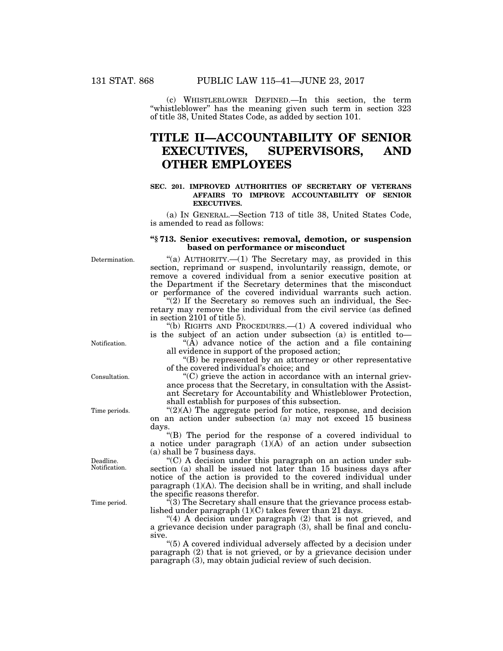(c) WHISTLEBLOWER DEFINED.—In this section, the term ''whistleblower'' has the meaning given such term in section 323 of title 38, United States Code, as added by section 101.

# **TITLE II—ACCOUNTABILITY OF SENIOR EXECUTIVES, SUPERVISORS, AND OTHER EMPLOYEES**

#### **SEC. 201. IMPROVED AUTHORITIES OF SECRETARY OF VETERANS AFFAIRS TO IMPROVE ACCOUNTABILITY OF SENIOR EXECUTIVES.**

(a) IN GENERAL.—Section 713 of title 38, United States Code, is amended to read as follows:

#### **''§ 713. Senior executives: removal, demotion, or suspension based on performance or misconduct**

Determination.

"(a) AUTHORITY.—(1) The Secretary may, as provided in this section, reprimand or suspend, involuntarily reassign, demote, or remove a covered individual from a senior executive position at the Department if the Secretary determines that the misconduct or performance of the covered individual warrants such action.

" $(2)$  If the Secretary so removes such an individual, the Secretary may remove the individual from the civil service (as defined in section 2101 of title 5).

''(b) RIGHTS AND PROCEDURES.—(1) A covered individual who is the subject of an action under subsection (a) is entitled to—

" $(\tilde{A})$  advance notice of the action and a file containing all evidence in support of the proposed action;

''(B) be represented by an attorney or other representative of the covered individual's choice; and

 $C$ ) grieve the action in accordance with an internal grievance process that the Secretary, in consultation with the Assistant Secretary for Accountability and Whistleblower Protection, shall establish for purposes of this subsection.

 $C(2)(A)$  The aggregate period for notice, response, and decision on an action under subsection (a) may not exceed 15 business days.

''(B) The period for the response of a covered individual to a notice under paragraph  $(1)(\overrightarrow{A})$  of an action under subsection (a) shall be 7 business days.

''(C) A decision under this paragraph on an action under subsection (a) shall be issued not later than 15 business days after notice of the action is provided to the covered individual under paragraph  $(1)(A)$ . The decision shall be in writing, and shall include the specific reasons therefor.

 $(3)$  The Secretary shall ensure that the grievance process established under paragraph (1)(C) takes fewer than 21 days.

" $(4)$  A decision under paragraph  $(2)$  that is not grieved, and a grievance decision under paragraph (3), shall be final and conclusive.

''(5) A covered individual adversely affected by a decision under paragraph  $(2)$  that is not grieved, or by a grievance decision under paragraph (3), may obtain judicial review of such decision.

Notification.

Consultation.

Time periods.

Deadline. Notification.

Time period.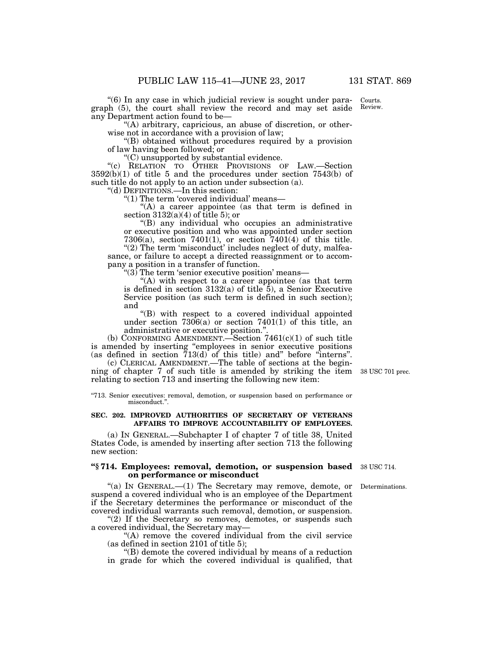''(6) In any case in which judicial review is sought under paragraph (5), the court shall review the record and may set aside any Department action found to be— Courts. Review.

"(A) arbitrary, capricious, an abuse of discretion, or otherwise not in accordance with a provision of law;

''(B) obtained without procedures required by a provision of law having been followed; or

''(C) unsupported by substantial evidence.

''(c) RELATION TO OTHER PROVISIONS OF LAW.—Section 3592(b)(1) of title 5 and the procedures under section 7543(b) of such title do not apply to an action under subsection (a).

''(d) DEFINITIONS.—In this section:

"(1) The term 'covered individual' means-

"(A) a career appointee (as that term is defined in section  $3132(a)(4)$  of title 5); or

''(B) any individual who occupies an administrative or executive position and who was appointed under section 7306(a), section 7401(1), or section 7401(4) of this title.

"(2) The term 'misconduct' includes neglect of duty, malfeasance, or failure to accept a directed reassignment or to accompany a position in a transfer of function.

''(3) The term 'senior executive position' means—

''(A) with respect to a career appointee (as that term is defined in section  $3132(a)$  of title  $\overline{5}$ ), a Senior Executive Service position (as such term is defined in such section); and

''(B) with respect to a covered individual appointed under section  $7306(a)$  or section  $7401(1)$  of this title, an administrative or executive position.''.

(b) CONFORMING AMENDMENT.—Section  $7461(c)(1)$  of such title is amended by inserting ''employees in senior executive positions (as defined in section 713(d) of this title) and'' before ''interns''.

(c) CLERICAL AMENDMENT.—The table of sections at the beginning of chapter 7 of such title is amended by striking the item 38 USC 701 prec. relating to section 713 and inserting the following new item:

''713. Senior executives: removal, demotion, or suspension based on performance or misconduct.''.

#### **SEC. 202. IMPROVED AUTHORITIES OF SECRETARY OF VETERANS AFFAIRS TO IMPROVE ACCOUNTABILITY OF EMPLOYEES.**

(a) IN GENERAL.—Subchapter I of chapter 7 of title 38, United States Code, is amended by inserting after section 713 the following new section:

#### **''§ 714. Employees: removal, demotion, or suspension based**  38 USC 714. **on performance or misconduct**

''(a) IN GENERAL.—(1) The Secretary may remove, demote, or suspend a covered individual who is an employee of the Department if the Secretary determines the performance or misconduct of the covered individual warrants such removal, demotion, or suspension.

"(2) If the Secretary so removes, demotes, or suspends such a covered individual, the Secretary may—

''(A) remove the covered individual from the civil service (as defined in section 2101 of title 5);

''(B) demote the covered individual by means of a reduction in grade for which the covered individual is qualified, that

**Determinations**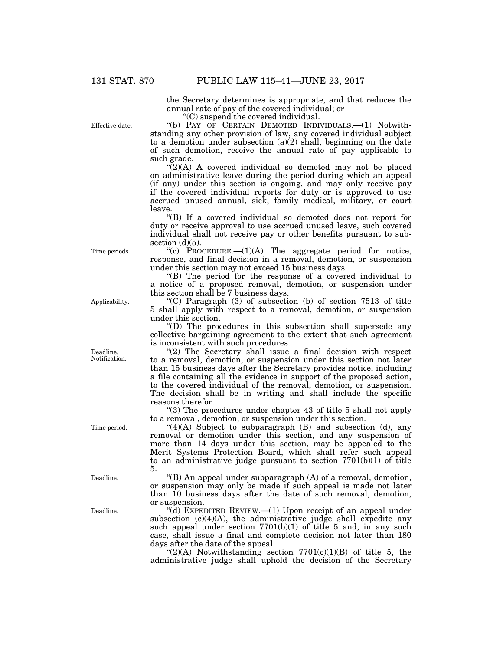Effective date.

the Secretary determines is appropriate, and that reduces the annual rate of pay of the covered individual; or

''(C) suspend the covered individual.

''(b) PAY OF CERTAIN DEMOTED INDIVIDUALS.—(1) Notwithstanding any other provision of law, any covered individual subject to a demotion under subsection  $(a)(2)$  shall, beginning on the date of such demotion, receive the annual rate of pay applicable to

such grade.  $\sqrt{\frac{2}{2}}$ (A) A covered individual so demoted may not be placed on administrative leave during the period during which an appeal (if any) under this section is ongoing, and may only receive pay if the covered individual reports for duty or is approved to use accrued unused annual, sick, family medical, military, or court leave.

''(B) If a covered individual so demoted does not report for duty or receive approval to use accrued unused leave, such covered individual shall not receive pay or other benefits pursuant to subsection  $(d)(5)$ .

"(c) PROCEDURE. $-(1)(A)$  The aggregate period for notice, response, and final decision in a removal, demotion, or suspension under this section may not exceed 15 business days.

''(B) The period for the response of a covered individual to a notice of a proposed removal, demotion, or suspension under this section shall be 7 business days.

 $(C)$  Paragraph (3) of subsection (b) of section 7513 of title 5 shall apply with respect to a removal, demotion, or suspension under this section.

''(D) The procedures in this subsection shall supersede any collective bargaining agreement to the extent that such agreement is inconsistent with such procedures.

"(2) The Secretary shall issue a final decision with respect to a removal, demotion, or suspension under this section not later than 15 business days after the Secretary provides notice, including a file containing all the evidence in support of the proposed action, to the covered individual of the removal, demotion, or suspension. The decision shall be in writing and shall include the specific reasons therefor.

''(3) The procedures under chapter 43 of title 5 shall not apply to a removal, demotion, or suspension under this section.

" $(4)(A)$  Subject to subparagraph (B) and subsection (d), any removal or demotion under this section, and any suspension of more than 14 days under this section, may be appealed to the Merit Systems Protection Board, which shall refer such appeal to an administrative judge pursuant to section  $7701(b)(1)$  of title 5.

''(B) An appeal under subparagraph (A) of a removal, demotion, or suspension may only be made if such appeal is made not later than 10 business days after the date of such removal, demotion, or suspension.

"( $\overline{d}$ ) EXPEDITED REVIEW.—(1) Upon receipt of an appeal under subsection  $(c)(4)(A)$ , the administrative judge shall expedite any such appeal under section  $7701(b)(1)$  of title 5 and, in any such case, shall issue a final and complete decision not later than 180 days after the date of the appeal.

" $(2)(A)$  Notwithstanding section 7701 $(c)(1)(B)$  of title 5, the administrative judge shall uphold the decision of the Secretary

Time periods.

Applicability.

Deadline. Notification.

Time period.

Deadline.

Deadline.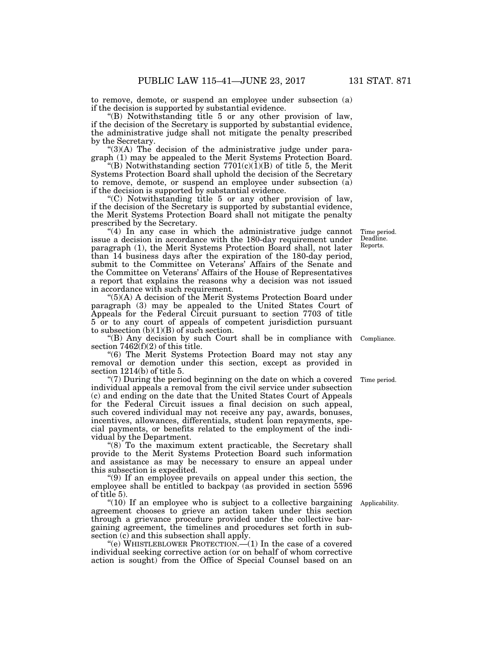to remove, demote, or suspend an employee under subsection (a) if the decision is supported by substantial evidence.

''(B) Notwithstanding title 5 or any other provision of law, if the decision of the Secretary is supported by substantial evidence, the administrative judge shall not mitigate the penalty prescribed by the Secretary.

 $\Gamma(3)(A)$  The decision of the administrative judge under paragraph (1) may be appealed to the Merit Systems Protection Board.

"(B) Notwithstanding section  $7701(c)(1)(B)$  of title 5, the Merit Systems Protection Board shall uphold the decision of the Secretary to remove, demote, or suspend an employee under subsection (a) if the decision is supported by substantial evidence.

''(C) Notwithstanding title 5 or any other provision of law, if the decision of the Secretary is supported by substantial evidence, the Merit Systems Protection Board shall not mitigate the penalty prescribed by the Secretary.

 $(4)$  In any case in which the administrative judge cannot issue a decision in accordance with the 180-day requirement under paragraph (1), the Merit Systems Protection Board shall, not later than 14 business days after the expiration of the 180-day period, submit to the Committee on Veterans' Affairs of the Senate and the Committee on Veterans' Affairs of the House of Representatives a report that explains the reasons why a decision was not issued in accordance with such requirement.

 $^{(6)}$ (A) A decision of the Merit Systems Protection Board under paragraph (3) may be appealed to the United States Court of Appeals for the Federal Circuit pursuant to section 7703 of title 5 or to any court of appeals of competent jurisdiction pursuant to subsection  $(b)(1)(B)$  of such section.

''(B) Any decision by such Court shall be in compliance with section  $7462(f)(2)$  of this title.

''(6) The Merit Systems Protection Board may not stay any removal or demotion under this section, except as provided in section 1214(b) of title 5.

''(7) During the period beginning on the date on which a covered individual appeals a removal from the civil service under subsection (c) and ending on the date that the United States Court of Appeals for the Federal Circuit issues a final decision on such appeal, such covered individual may not receive any pay, awards, bonuses, incentives, allowances, differentials, student loan repayments, special payments, or benefits related to the employment of the individual by the Department. Time period.

"(8) To the maximum extent practicable, the Secretary shall provide to the Merit Systems Protection Board such information and assistance as may be necessary to ensure an appeal under this subsection is expedited.

''(9) If an employee prevails on appeal under this section, the employee shall be entitled to backpay (as provided in section 5596 of title 5).

" $(10)$  If an employee who is subject to a collective bargaining agreement chooses to grieve an action taken under this section through a grievance procedure provided under the collective bargaining agreement, the timelines and procedures set forth in subsection (c) and this subsection shall apply.

''(e) WHISTLEBLOWER PROTECTION.—(1) In the case of a covered individual seeking corrective action (or on behalf of whom corrective action is sought) from the Office of Special Counsel based on an

Time period. Deadline. Reports.

Compliance.

Applicability.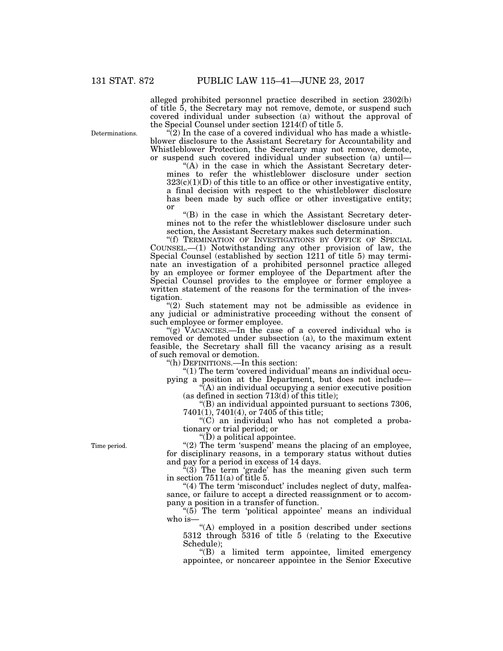alleged prohibited personnel practice described in section 2302(b) of title 5, the Secretary may not remove, demote, or suspend such covered individual under subsection (a) without the approval of the Special Counsel under section 1214(f) of title 5.

Determinations.

 $\sqrt[n]{2}$ ) In the case of a covered individual who has made a whistleblower disclosure to the Assistant Secretary for Accountability and Whistleblower Protection, the Secretary may not remove, demote, or suspend such covered individual under subsection (a) until—

"(A) in the case in which the Assistant Secretary determines to refer the whistleblower disclosure under section  $323(c)(1)(D)$  of this title to an office or other investigative entity, a final decision with respect to the whistleblower disclosure has been made by such office or other investigative entity; or

''(B) in the case in which the Assistant Secretary determines not to the refer the whistleblower disclosure under such section, the Assistant Secretary makes such determination.

''(f) TERMINATION OF INVESTIGATIONS BY OFFICE OF SPECIAL COUNSEL.—(1) Notwithstanding any other provision of law, the Special Counsel (established by section 1211 of title 5) may terminate an investigation of a prohibited personnel practice alleged by an employee or former employee of the Department after the Special Counsel provides to the employee or former employee a written statement of the reasons for the termination of the investigation.

''(2) Such statement may not be admissible as evidence in any judicial or administrative proceeding without the consent of such employee or former employee.

"(g) VACANCIES.—In the case of a covered individual who is removed or demoted under subsection (a), to the maximum extent feasible, the Secretary shall fill the vacancy arising as a result of such removal or demotion.

''(h) DEFINITIONS.—In this section:

''(1) The term 'covered individual' means an individual occupying a position at the Department, but does not include—

 $\hat{f}(A)$  an individual occupying a senior executive position (as defined in section 713(d) of this title);

''(B) an individual appointed pursuant to sections 7306, 7401(1), 7401(4), or 7405 of this title;

''(C) an individual who has not completed a probationary or trial period; or

"( $\ddot{D}$ ) a political appointee.

" $(2)$  The term 'suspend' means the placing of an employee, for disciplinary reasons, in a temporary status without duties and pay for a period in excess of 14 days.

 $(3)$  The term 'grade' has the meaning given such term in section  $7511(a)$  of title 5.

"(4) The term 'misconduct' includes neglect of duty, malfeasance, or failure to accept a directed reassignment or to accompany a position in a transfer of function.

 $(5)$  The term 'political appointee' means an individual who is—

''(A) employed in a position described under sections 5312 through 5316 of title 5 (relating to the Executive Schedule);

''(B) a limited term appointee, limited emergency appointee, or noncareer appointee in the Senior Executive

Time period.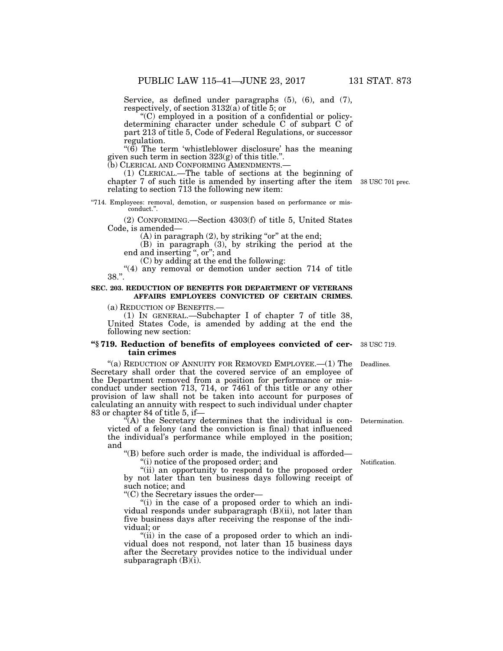Service, as defined under paragraphs (5), (6), and (7), respectively, of section 3132(a) of title 5; or

''(C) employed in a position of a confidential or policydetermining character under schedule C of subpart C of part 213 of title 5, Code of Federal Regulations, or successor regulation.

" $(6)$  The term 'whistleblower disclosure' has the meaning given such term in section 323(g) of this title.''.

(1) CLERICAL.—The table of sections at the beginning of chapter 7 of such title is amended by inserting after the item 38 USC 701 prec. relating to section 713 the following new item:

''714. Employees: removal, demotion, or suspension based on performance or misconduct.''.

(2) CONFORMING.—Section 4303(f) of title 5, United States Code, is amended—

 $(A)$  in paragraph  $(2)$ , by striking "or" at the end;

(B) in paragraph (3), by striking the period at the end and inserting '', or''; and

(C) by adding at the end the following:

"(4) any removal or demotion under section 714 of title 38.''.

### **SEC. 203. REDUCTION OF BENEFITS FOR DEPARTMENT OF VETERANS AFFAIRS EMPLOYEES CONVICTED OF CERTAIN CRIMES.**

(a) REDUCTION OF BENEFITS.— (1) IN GENERAL.—Subchapter I of chapter 7 of title 38, United States Code, is amended by adding at the end the following new section:

#### **''§ 719. Reduction of benefits of employees convicted of certain crimes**

"(a) REDUCTION OF ANNUITY FOR REMOVED EMPLOYEE.—(1) The Secretary shall order that the covered service of an employee of the Department removed from a position for performance or misconduct under section 713, 714, or 7461 of this title or any other provision of law shall not be taken into account for purposes of calculating an annuity with respect to such individual under chapter 83 or chapter 84 of title 5, if—

''(A) the Secretary determines that the individual is convicted of a felony (and the conviction is final) that influenced the individual's performance while employed in the position; and

''(B) before such order is made, the individual is afforded—

''(i) notice of the proposed order; and

"(ii) an opportunity to respond to the proposed order by not later than ten business days following receipt of such notice; and

''(C) the Secretary issues the order—

"(i) in the case of a proposed order to which an individual responds under subparagraph (B)(ii), not later than five business days after receiving the response of the individual; or

"(ii) in the case of a proposed order to which an individual does not respond, not later than 15 business days after the Secretary provides notice to the individual under subparagraph  $(B)(i)$ .

38 USC 719.

Deadlines.

Determination.

Notification.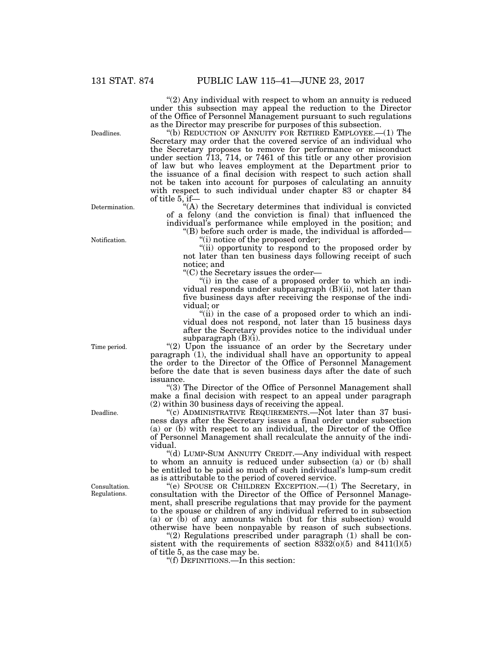"(2) Any individual with respect to whom an annuity is reduced under this subsection may appeal the reduction to the Director of the Office of Personnel Management pursuant to such regulations as the Director may prescribe for purposes of this subsection.

''(b) REDUCTION OF ANNUITY FOR RETIRED EMPLOYEE.—(1) The Secretary may order that the covered service of an individual who the Secretary proposes to remove for performance or misconduct under section 713, 714, or 7461 of this title or any other provision of law but who leaves employment at the Department prior to the issuance of a final decision with respect to such action shall not be taken into account for purposes of calculating an annuity with respect to such individual under chapter 83 or chapter 84 of title 5, if—

''(A) the Secretary determines that individual is convicted of a felony (and the conviction is final) that influenced the individual's performance while employed in the position; and

''(B) before such order is made, the individual is afforded— ''(i) notice of the proposed order;

''(ii) opportunity to respond to the proposed order by not later than ten business days following receipt of such notice; and

''(C) the Secretary issues the order—

''(i) in the case of a proposed order to which an individual responds under subparagraph (B)(ii), not later than five business days after receiving the response of the individual; or

"(ii) in the case of a proposed order to which an individual does not respond, not later than 15 business days after the Secretary provides notice to the individual under subparagraph  $(B)(i)$ .

"(2) Upon the issuance of an order by the Secretary under paragraph (1), the individual shall have an opportunity to appeal the order to the Director of the Office of Personnel Management before the date that is seven business days after the date of such issuance.

"(3) The Director of the Office of Personnel Management shall make a final decision with respect to an appeal under paragraph (2) within 30 business days of receiving the appeal.

 $(c)$  ADMINISTRATIVE REQUIREMENTS.—Not later than 37 business days after the Secretary issues a final order under subsection (a) or (b) with respect to an individual, the Director of the Office of Personnel Management shall recalculate the annuity of the individual.

''(d) LUMP-SUM ANNUITY CREDIT.—Any individual with respect to whom an annuity is reduced under subsection (a) or (b) shall be entitled to be paid so much of such individual's lump-sum credit as is attributable to the period of covered service.

''(e) SPOUSE OR CHILDREN EXCEPTION.—(1) The Secretary, in consultation with the Director of the Office of Personnel Management, shall prescribe regulations that may provide for the payment to the spouse or children of any individual referred to in subsection (a) or (b) of any amounts which (but for this subsection) would otherwise have been nonpayable by reason of such subsections.

" $(2)$  Regulations prescribed under paragraph  $(1)$  shall be consistent with the requirements of section  $8332(0)(5)$  and  $8411(1)(5)$ of title 5, as the case may be.

''(f) DEFINITIONS.—In this section:

Deadlines.

Determination.

Notification.

Time period.

Deadline.

Consultation. Regulations.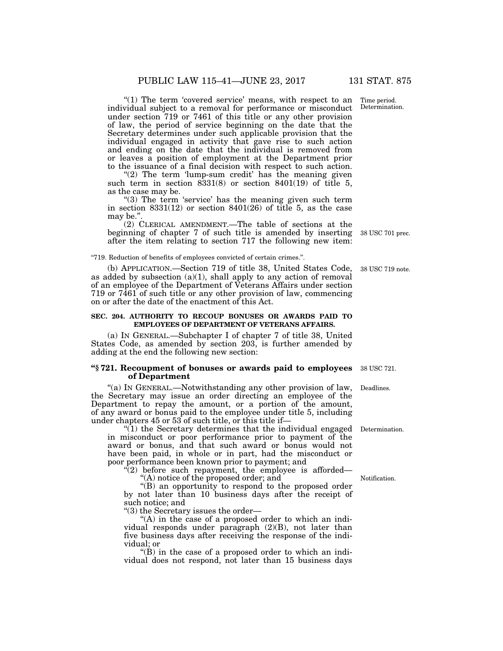"(1) The term 'covered service' means, with respect to an individual subject to a removal for performance or misconduct under section 719 or 7461 of this title or any other provision of law, the period of service beginning on the date that the Secretary determines under such applicable provision that the individual engaged in activity that gave rise to such action and ending on the date that the individual is removed from or leaves a position of employment at the Department prior to the issuance of a final decision with respect to such action.

" $(2)$  The term 'lump-sum credit' has the meaning given such term in section  $8331(8)$  or section  $8401(19)$  of title 5, as the case may be.

" $(3)$  The term 'service' has the meaning given such term in section  $8331(12)$  or section  $8401(26)$  of title 5, as the case may be."

(2) CLERICAL AMENDMENT.—The table of sections at the beginning of chapter 7 of such title is amended by inserting after the item relating to section 717 the following new item:

''719. Reduction of benefits of employees convicted of certain crimes.''.

(b) APPLICATION.—Section 719 of title 38, United States Code, as added by subsection  $(a)(1)$ , shall apply to any action of removal of an employee of the Department of Veterans Affairs under section 719 or 7461 of such title or any other provision of law, commencing on or after the date of the enactment of this Act.

#### **SEC. 204. AUTHORITY TO RECOUP BONUSES OR AWARDS PAID TO EMPLOYEES OF DEPARTMENT OF VETERANS AFFAIRS.**

(a) IN GENERAL.—Subchapter I of chapter 7 of title 38, United States Code, as amended by section 203, is further amended by adding at the end the following new section:

#### **''§ 721. Recoupment of bonuses or awards paid to employees of Department**

"(a) IN GENERAL.—Notwithstanding any other provision of law, Deadlines. the Secretary may issue an order directing an employee of the Department to repay the amount, or a portion of the amount, of any award or bonus paid to the employee under title 5, including under chapters 45 or 53 of such title, or this title if—

''(1) the Secretary determines that the individual engaged Determination. in misconduct or poor performance prior to payment of the award or bonus, and that such award or bonus would not have been paid, in whole or in part, had the misconduct or poor performance been known prior to payment; and

 $(2)$  before such repayment, the employee is afforded—

''(A) notice of the proposed order; and

''(B) an opportunity to respond to the proposed order by not later than 10 business days after the receipt of such notice; and

''(3) the Secretary issues the order—

"(A) in the case of a proposed order to which an individual responds under paragraph (2)(B), not later than five business days after receiving the response of the individual; or

''(B) in the case of a proposed order to which an individual does not respond, not later than 15 business days

38 USC 719 note.

38 USC 701 prec.

38 USC 721.

Notification.

Time period. Determination.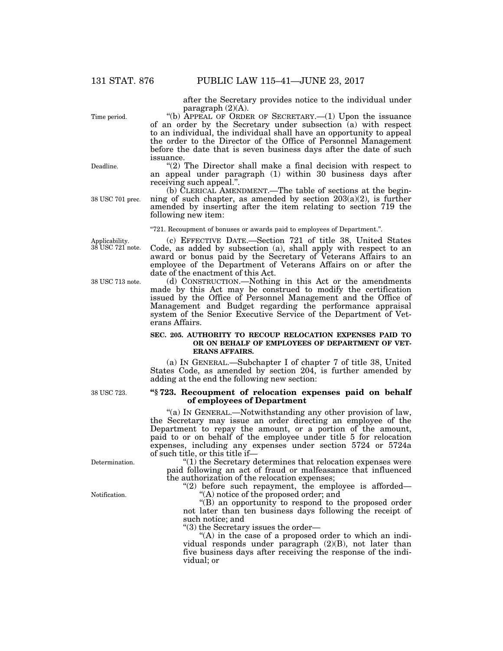after the Secretary provides notice to the individual under paragraph (2)(A).

"(b) APPEAL OF ORDER OF SECRETARY.— $(1)$  Upon the issuance of an order by the Secretary under subsection (a) with respect to an individual, the individual shall have an opportunity to appeal the order to the Director of the Office of Personnel Management before the date that is seven business days after the date of such issuance.

" $(2)$  The Director shall make a final decision with respect to an appeal under paragraph (1) within 30 business days after receiving such appeal.''.

(b) CLERICAL AMENDMENT.—The table of sections at the beginning of such chapter, as amended by section  $203(a)(2)$ , is further amended by inserting after the item relating to section 719 the following new item:

''721. Recoupment of bonuses or awards paid to employees of Department.''.

Applicability. 38 USC 721 note.

38 USC 713 note.

38 USC 723.

Determination.

Notification.

(c) EFFECTIVE DATE.—Section 721 of title 38, United States Code, as added by subsection (a), shall apply with respect to an award or bonus paid by the Secretary of Veterans Affairs to an employee of the Department of Veterans Affairs on or after the date of the enactment of this Act.

(d) CONSTRUCTION.—Nothing in this Act or the amendments made by this Act may be construed to modify the certification issued by the Office of Personnel Management and the Office of Management and Budget regarding the performance appraisal system of the Senior Executive Service of the Department of Veterans Affairs.

#### **SEC. 205. AUTHORITY TO RECOUP RELOCATION EXPENSES PAID TO OR ON BEHALF OF EMPLOYEES OF DEPARTMENT OF VET-ERANS AFFAIRS.**

(a) IN GENERAL.—Subchapter I of chapter 7 of title 38, United States Code, as amended by section 204, is further amended by adding at the end the following new section:

#### **''§ 723. Recoupment of relocation expenses paid on behalf of employees of Department**

''(a) IN GENERAL.—Notwithstanding any other provision of law, the Secretary may issue an order directing an employee of the Department to repay the amount, or a portion of the amount, paid to or on behalf of the employee under title 5 for relocation expenses, including any expenses under section 5724 or 5724a of such title, or this title if—

''(1) the Secretary determines that relocation expenses were paid following an act of fraud or malfeasance that influenced the authorization of the relocation expenses;

" $(2)$  before such repayment, the employee is afforded— ''(A) notice of the proposed order; and

''(B) an opportunity to respond to the proposed order not later than ten business days following the receipt of such notice; and

''(3) the Secretary issues the order—

"(A) in the case of a proposed order to which an individual responds under paragraph (2)(B), not later than five business days after receiving the response of the individual; or

Deadline.

Time period.

38 USC 701 prec.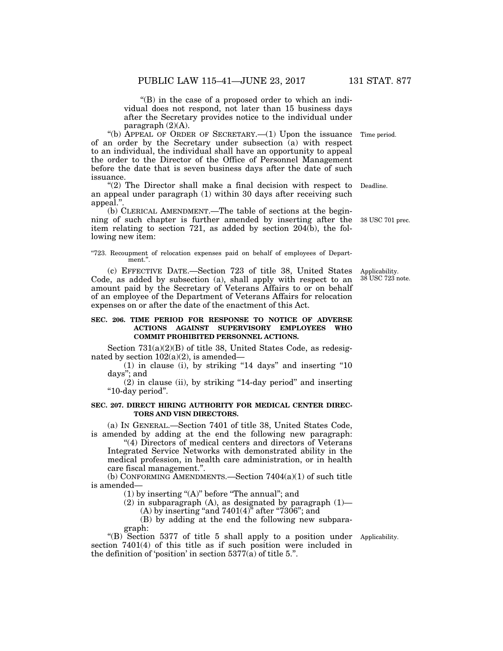''(B) in the case of a proposed order to which an individual does not respond, not later than 15 business days after the Secretary provides notice to the individual under paragraph  $(2)(A)$ .

''(b) APPEAL OF ORDER OF SECRETARY.—(1) Upon the issuance of an order by the Secretary under subsection (a) with respect to an individual, the individual shall have an opportunity to appeal the order to the Director of the Office of Personnel Management before the date that is seven business days after the date of such issuance.

"(2) The Director shall make a final decision with respect to Deadline. an appeal under paragraph (1) within 30 days after receiving such appeal.''.

(b) CLERICAL AMENDMENT.—The table of sections at the beginning of such chapter is further amended by inserting after the item relating to section 721, as added by section 204(b), the following new item:

"723. Recoupment of relocation expenses paid on behalf of employees of Depart- $\mathop{\text{ment}}$  .'

(c) EFFECTIVE DATE.—Section 723 of title 38, United States Code, as added by subsection (a), shall apply with respect to an amount paid by the Secretary of Veterans Affairs to or on behalf of an employee of the Department of Veterans Affairs for relocation expenses on or after the date of the enactment of this Act.

#### **SEC. 206. TIME PERIOD FOR RESPONSE TO NOTICE OF ADVERSE ACTIONS AGAINST SUPERVISORY EMPLOYEES WHO COMMIT PROHIBITED PERSONNEL ACTIONS.**

Section 731(a)(2)(B) of title 38, United States Code, as redesignated by section  $102(a)(2)$ , is amended—

(1) in clause (i), by striking ''14 days'' and inserting ''10 days''; and

(2) in clause (ii), by striking ''14-day period'' and inserting ''10-day period''.

#### **SEC. 207. DIRECT HIRING AUTHORITY FOR MEDICAL CENTER DIREC-TORS AND VISN DIRECTORS.**

(a) IN GENERAL.—Section 7401 of title 38, United States Code, is amended by adding at the end the following new paragraph:

''(4) Directors of medical centers and directors of Veterans Integrated Service Networks with demonstrated ability in the medical profession, in health care administration, or in health care fiscal management.''.

(b) CONFORMING AMENDMENTS.—Section 7404(a)(1) of such title is amended—

 $(1)$  by inserting "(A)" before "The annual"; and

(2) in subparagraph (A), as designated by paragraph  $(1)$ — (A) by inserting "and  $7401(4)$ " after " $7306$ "; and

(B) by adding at the end the following new subparagraph:

''(B) Section 5377 of title 5 shall apply to a position under Applicability. section 7401(4) of this title as if such position were included in the definition of 'position' in section 5377(a) of title 5.''.

Applicability. 38 USC 723 note.

38 USC 701 prec.

Time period.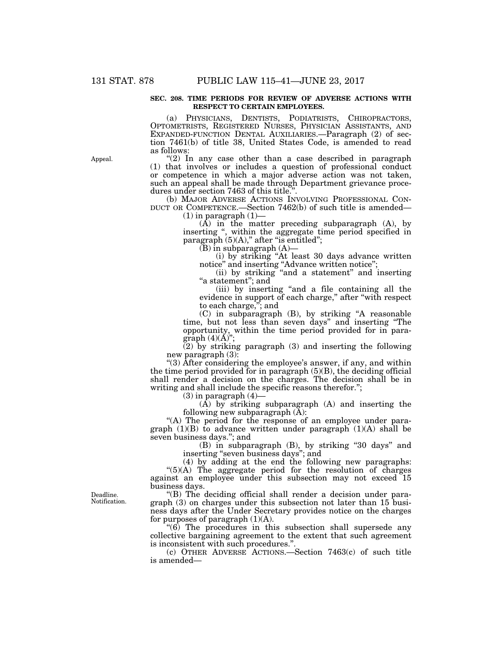#### **SEC. 208. TIME PERIODS FOR REVIEW OF ADVERSE ACTIONS WITH RESPECT TO CERTAIN EMPLOYEES.**

(a) PHYSICIANS, DENTISTS, PODIATRISTS, CHIROPRACTORS, OPTOMETRISTS, REGISTERED NURSES, PHYSICIAN ASSISTANTS, AND EXPANDED-FUNCTION DENTAL AUXILIARIES.—Paragraph (2) of section 7461(b) of title 38, United States Code, is amended to read as follows:

"(2) In any case other than a case described in paragraph (1) that involves or includes a question of professional conduct or competence in which a major adverse action was not taken, such an appeal shall be made through Department grievance procedures under section 7463 of this title.''.

(b) MAJOR ADVERSE ACTIONS INVOLVING PROFESSIONAL CON- DUCT OR COMPETENCE.—Section 7462(b) of such title is amended—

 $(1)$  in paragraph  $(1)$ -

 $(A)$  in the matter preceding subparagraph  $(A)$ , by inserting '', within the aggregate time period specified in paragraph  $(5)(A)$ ," after "is entitled";

 $(B)$  in subparagraph  $(A)$ —

(i) by striking ''At least 30 days advance written notice" and inserting "Advance written notice";

(ii) by striking ''and a statement'' and inserting "a statement"; and

(iii) by inserting ''and a file containing all the evidence in support of each charge," after "with respect to each charge,''; and

(C) in subparagraph (B), by striking ''A reasonable time, but not less than seven days'' and inserting ''The opportunity, within the time period provided for in paragraph  $(4)(\dot{A})$ ";

(2) by striking paragraph (3) and inserting the following new paragraph (3):

''(3) After considering the employee's answer, if any, and within the time period provided for in paragraph  $(5)(B)$ , the deciding official shall render a decision on the charges. The decision shall be in writing and shall include the specific reasons therefor.'';

 $(3)$  in paragraph  $(4)$ —

(A) by striking subparagraph (A) and inserting the following new subparagraph  $(\bar{A})$ :

"(A) The period for the response of an employee under paragraph  $(1)(B)$  to advance written under paragraph  $(1)(A)$  shall be seven business days.''; and

(B) in subparagraph (B), by striking ''30 days'' and inserting ''seven business days''; and

(4) by adding at the end the following new paragraphs:  $"(5)(A)$  The aggregate period for the resolution of charges against an employee under this subsection may not exceed 15 business days.

''(B) The deciding official shall render a decision under paragraph (3) on charges under this subsection not later than 15 business days after the Under Secretary provides notice on the charges for purposes of paragraph  $(1)(A)$ .

 $\degree$ (6) The procedures in this subsection shall supersede any collective bargaining agreement to the extent that such agreement is inconsistent with such procedures.''.

(c) OTHER ADVERSE ACTIONS.—Section 7463(c) of such title is amended—

Deadline. Notification.

Appeal.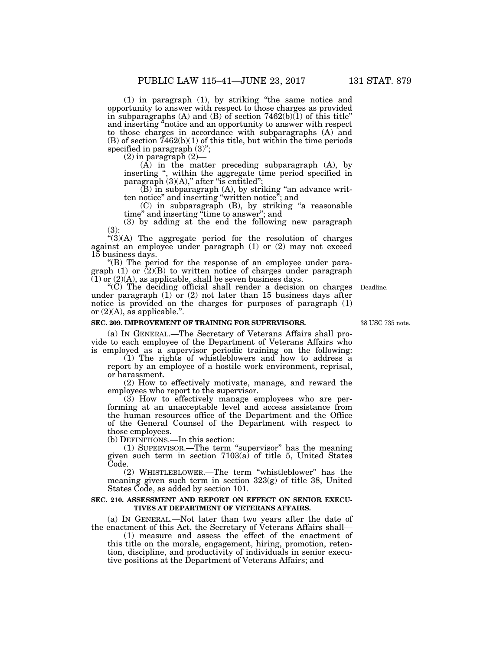(1) in paragraph (1), by striking ''the same notice and opportunity to answer with respect to those charges as provided in subparagraphs  $(A)$  and  $(B)$  of section 7462 $(b)$  $(1)$  of this title" and inserting "notice and an opportunity to answer with respect to those charges in accordance with subparagraphs (A) and  $(B)$  of section  $7462(b)(1)$  of this title, but within the time periods specified in paragraph  $(3)$ ";

 $(2)$  in paragraph  $(2)$ –

 $(A)$  in the matter preceding subparagraph  $(A)$ , by inserting '', within the aggregate time period specified in paragraph  $(3)(A)$ ," after "is entitled";

(B) in subparagraph (A), by striking ''an advance written notice'' and inserting ''written notice''; and

(C) in subparagraph (B), by striking ''a reasonable time'' and inserting ''time to answer''; and

(3) by adding at the end the following new paragraph (3):

" $(3)(A)$  The aggregate period for the resolution of charges against an employee under paragraph (1) or (2) may not exceed 15 business days.

''(B) The period for the response of an employee under paragraph (1) or (2)(B) to written notice of charges under paragraph  $(1)$  or  $(2)(A)$ , as applicable, shall be seven business days.

''(C) The deciding official shall render a decision on charges under paragraph  $(1)$  or  $(2)$  not later than 15 business days after notice is provided on the charges for purposes of paragraph (1) or (2)(A), as applicable.''.

#### **SEC. 209. IMPROVEMENT OF TRAINING FOR SUPERVISORS.**

38 USC 735 note.

Deadline.

(a) IN GENERAL.—The Secretary of Veterans Affairs shall provide to each employee of the Department of Veterans Affairs who is employed as a supervisor periodic training on the following:

 $(1)$  The rights of whistleblowers and how to address a report by an employee of a hostile work environment, reprisal, or harassment.

(2) How to effectively motivate, manage, and reward the employees who report to the supervisor.

(3) How to effectively manage employees who are performing at an unacceptable level and access assistance from the human resources office of the Department and the Office of the General Counsel of the Department with respect to those employees.

(b) DEFINITIONS.—In this section:

(1) SUPERVISOR.—The term ''supervisor'' has the meaning given such term in section 7103(a) of title 5, United States Code.

(2) WHISTLEBLOWER.—The term ''whistleblower'' has the meaning given such term in section 323(g) of title 38, United States Code, as added by section 101.

#### **SEC. 210. ASSESSMENT AND REPORT ON EFFECT ON SENIOR EXECU-TIVES AT DEPARTMENT OF VETERANS AFFAIRS.**

(a) IN GENERAL.—Not later than two years after the date of the enactment of this Act, the Secretary of Veterans Affairs shall—

(1) measure and assess the effect of the enactment of this title on the morale, engagement, hiring, promotion, retention, discipline, and productivity of individuals in senior executive positions at the Department of Veterans Affairs; and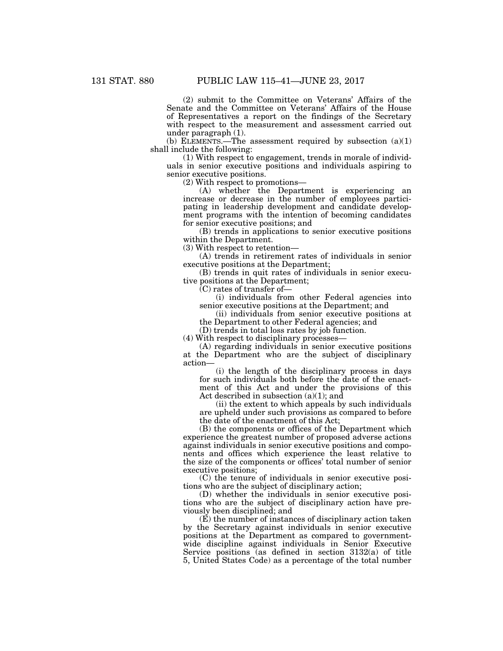(2) submit to the Committee on Veterans' Affairs of the Senate and the Committee on Veterans' Affairs of the House of Representatives a report on the findings of the Secretary with respect to the measurement and assessment carried out under paragraph (1).

(b) ELEMENTS.—The assessment required by subsection  $(a)(1)$ shall include the following:

(1) With respect to engagement, trends in morale of individuals in senior executive positions and individuals aspiring to senior executive positions.

(2) With respect to promotions—

(A) whether the Department is experiencing an increase or decrease in the number of employees participating in leadership development and candidate development programs with the intention of becoming candidates for senior executive positions; and

(B) trends in applications to senior executive positions within the Department.

(3) With respect to retention—

(A) trends in retirement rates of individuals in senior executive positions at the Department;

(B) trends in quit rates of individuals in senior executive positions at the Department;

(C) rates of transfer of—

(i) individuals from other Federal agencies into senior executive positions at the Department; and

(ii) individuals from senior executive positions at the Department to other Federal agencies; and

(D) trends in total loss rates by job function.

(4) With respect to disciplinary processes—

(A) regarding individuals in senior executive positions at the Department who are the subject of disciplinary action—

(i) the length of the disciplinary process in days for such individuals both before the date of the enactment of this Act and under the provisions of this Act described in subsection (a)(1); and

(ii) the extent to which appeals by such individuals are upheld under such provisions as compared to before the date of the enactment of this Act;

(B) the components or offices of the Department which experience the greatest number of proposed adverse actions against individuals in senior executive positions and components and offices which experience the least relative to the size of the components or offices' total number of senior executive positions;

(C) the tenure of individuals in senior executive positions who are the subject of disciplinary action;

(D) whether the individuals in senior executive positions who are the subject of disciplinary action have previously been disciplined; and

(E) the number of instances of disciplinary action taken by the Secretary against individuals in senior executive positions at the Department as compared to governmentwide discipline against individuals in Senior Executive Service positions (as defined in section 3132(a) of title 5, United States Code) as a percentage of the total number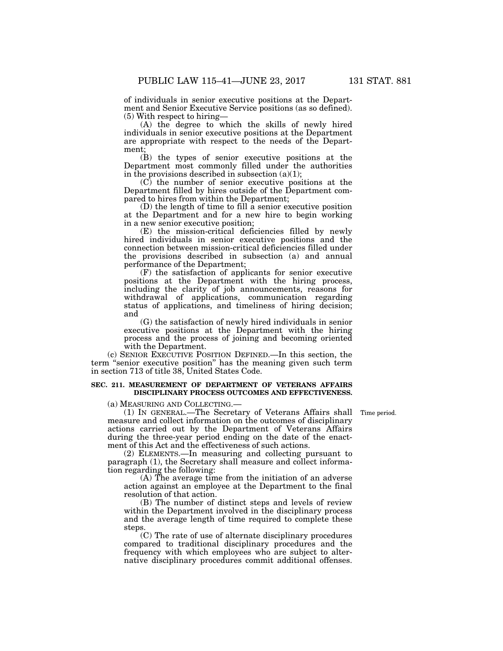of individuals in senior executive positions at the Department and Senior Executive Service positions (as so defined).

(5) With respect to hiring—

(A) the degree to which the skills of newly hired individuals in senior executive positions at the Department are appropriate with respect to the needs of the Department;

(B) the types of senior executive positions at the Department most commonly filled under the authorities in the provisions described in subsection  $(a)(1)$ ;

(C) the number of senior executive positions at the Department filled by hires outside of the Department compared to hires from within the Department;

(D) the length of time to fill a senior executive position at the Department and for a new hire to begin working in a new senior executive position;

(E) the mission-critical deficiencies filled by newly hired individuals in senior executive positions and the connection between mission-critical deficiencies filled under the provisions described in subsection (a) and annual performance of the Department;

(F) the satisfaction of applicants for senior executive positions at the Department with the hiring process, including the clarity of job announcements, reasons for withdrawal of applications, communication regarding status of applications, and timeliness of hiring decision; and

(G) the satisfaction of newly hired individuals in senior executive positions at the Department with the hiring process and the process of joining and becoming oriented with the Department.

(c) SENIOR EXECUTIVE POSITION DEFINED.—In this section, the term ''senior executive position'' has the meaning given such term in section 713 of title 38, United States Code.

#### **SEC. 211. MEASUREMENT OF DEPARTMENT OF VETERANS AFFAIRS DISCIPLINARY PROCESS OUTCOMES AND EFFECTIVENESS.**

(a) MEASURING AND COLLECTING.—

(1) IN GENERAL.—The Secretary of Veterans Affairs shall Time period. measure and collect information on the outcomes of disciplinary actions carried out by the Department of Veterans Affairs during the three-year period ending on the date of the enactment of this Act and the effectiveness of such actions.

(2) ELEMENTS.—In measuring and collecting pursuant to paragraph (1), the Secretary shall measure and collect information regarding the following:

(A) The average time from the initiation of an adverse action against an employee at the Department to the final resolution of that action.

(B) The number of distinct steps and levels of review within the Department involved in the disciplinary process and the average length of time required to complete these steps.

(C) The rate of use of alternate disciplinary procedures compared to traditional disciplinary procedures and the frequency with which employees who are subject to alternative disciplinary procedures commit additional offenses.